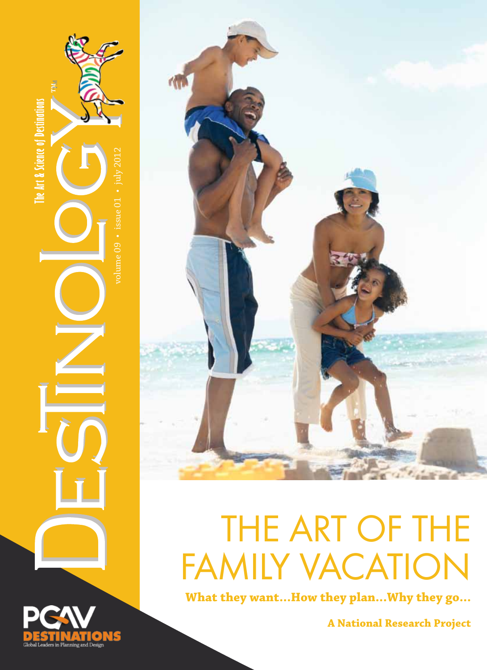

**A National Research Project**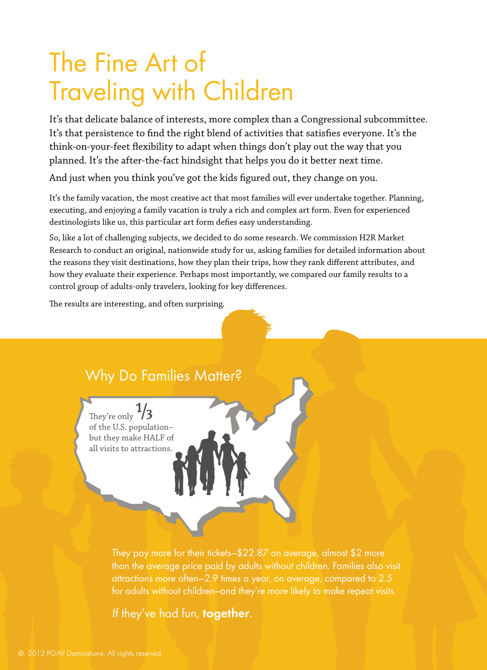## The Fine Art of Traveling with Children

It's that delicate balance of interests, more complex than a Congressional subcommittee. It's that persistence to find the right blend of activities that satisfies everyone. It's the think-on-your-feet flexibility to adapt when things don't play out the way that you planned. It's the after-the-fact hindsight that helps you do it better next time.

And just when you think you've got the kids figured out, they change on you.

It's the family vacation, the most creative act that most families will ever undertake together. Planning, executing, and enjoying a family vacation is truly a rich and complex art form. Even for experienced destinologists like us, this particular art form defies easy understanding.

So, like a lot of challenging subjects, we decided to do some research. We commission H2R Market Research to conduct an original, nationwide study for us, asking families for detailed information about the reasons they visit destinations, how they plan their trips, how they rank different attributes, and how they evaluate their experience. Perhaps most importantly, we compared our family results to a control group of adults-only travelers, looking for key differences.

The results are interesting, and often surprising.

### Why Do Families Matter?

of the U.S. population– but they make HALF of all visits to attractions. They're only  $\frac{1}{3}$ 

> They pay more for their tickets—\$22.87 on average, almost \$2 more than the average price paid by adults without children. Families also visit attractions more often—2.9 times a year, on average, compared to 2.5 for adults without children—and they're more likely to make repeat visits.

If they've had fun, together.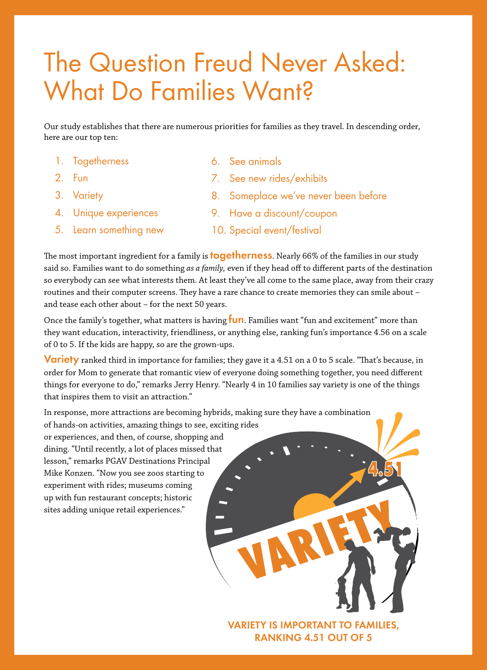### The Question Freud Never Asked: What Do Families Want?

Our study establishes that there are numerous priorities for families as they travel. In descending order, here are our top ten:

- 1. Togetherness
- 2. Fun
- 3. Variety
- 4. Unique experiences
- 5. Learn something new
- 6. See animals
- 7. See new rides/exhibits
- 8. Someplace we've never been before
- 9. Have a discount/coupon
- 10. Special event/festival

The most important ingredient for a family is **togetherness**. Nearly 66% of the families in our study said so. Families want to do something *as a family,* even if they head off to different parts of the destination so everybody can see what interests them. At least they've all come to the same place, away from their crazy routines and their computer screens. They have a rare chance to create memories they can smile about – and tease each other about – for the next 50 years.

Once the family's together, what matters is having **fun**. Families want "fun and excitement" more than they want education, interactivity, friendliness, or anything else, ranking fun's importance 4.56 on a scale of 0 to 5. If the kids are happy, so are the grown-ups.

**Variety** ranked third in importance for families; they gave it a 4.51 on a 0 to 5 scale. "That's because, in order for Mom to generate that romantic view of everyone doing something together, you need different things for everyone to do," remarks Jerry Henry. "Nearly 4 in 10 families say variety is one of the things that inspires them to visit an attraction."

In response, more attractions are becoming hybrids, making sure they have a combination

of hands-on activities, amazing things to see, exciting rides or experiences, and then, of course, shopping and dining. "Until recently, a lot of places missed that lesson," remarks PGAV Destinations Principal Mike Konzen. "Now you see zoos starting to experiment with rides; museums coming up with fun restaurant concepts; historic sites adding unique retail experiences."



Variety is important to families, ranking 4.51 out of 5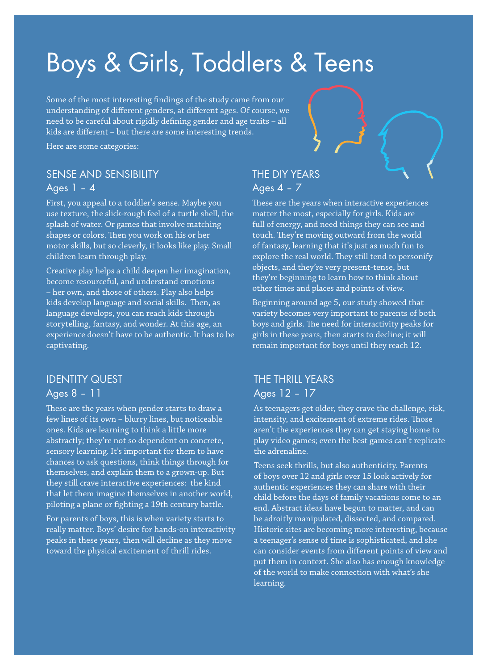### Boys & Girls, Toddlers & Teens

Some of the most interesting findings of the study came from our understanding of different genders, at different ages. Of course, we need to be careful about rigidly defining gender and age traits – all kids are different – but there are some interesting trends.

Here are some categories:

#### Sense and Sensibility Ages 1 – 4

First, you appeal to a toddler's sense. Maybe you use texture, the slick-rough feel of a turtle shell, the splash of water. Or games that involve matching shapes or colors. Then you work on his or her motor skills, but so cleverly, it looks like play. Small children learn through play.

Creative play helps a child deepen her imagination, become resourceful, and understand emotions – her own, and those of others. Play also helps kids develop language and social skills. Then, as language develops, you can reach kids through storytelling, fantasy, and wonder. At this age, an experience doesn't have to be authentic. It has to be captivating.

### Identity Quest Ages 8 – 11

These are the years when gender starts to draw a few lines of its own – blurry lines, but noticeable ones. Kids are learning to think a little more abstractly; they're not so dependent on concrete, sensory learning. It's important for them to have chances to ask questions, think things through for themselves, and explain them to a grown-up. But they still crave interactive experiences: the kind that let them imagine themselves in another world, piloting a plane or fighting a 19th century battle.

For parents of boys, this is when variety starts to really matter. Boys' desire for hands-on interactivity peaks in these years, then will decline as they move toward the physical excitement of thrill rides.

### The DIY Years Ages 4 – 7

These are the years when interactive experiences matter the most, especially for girls. Kids are full of energy, and need things they can see and touch. They're moving outward from the world of fantasy, learning that it's just as much fun to explore the real world. They still tend to personify objects, and they're very present-tense, but they're beginning to learn how to think about other times and places and points of view.

Beginning around age 5, our study showed that variety becomes very important to parents of both boys and girls. The need for interactivity peaks for girls in these years, then starts to decline; it will remain important for boys until they reach 12.

### The Thrill Years Ages 12 – 17

As teenagers get older, they crave the challenge, risk, intensity, and excitement of extreme rides. Those aren't the experiences they can get staying home to play video games; even the best games can't replicate the adrenaline.

Teens seek thrills, but also authenticity. Parents of boys over 12 and girls over 15 look actively for authentic experiences they can share with their child before the days of family vacations come to an end. Abstract ideas have begun to matter, and can be adroitly manipulated, dissected, and compared. Historic sites are becoming more interesting, because a teenager's sense of time is sophisticated, and she can consider events from different points of view and put them in context. She also has enough knowledge of the world to make connection with what's she learning.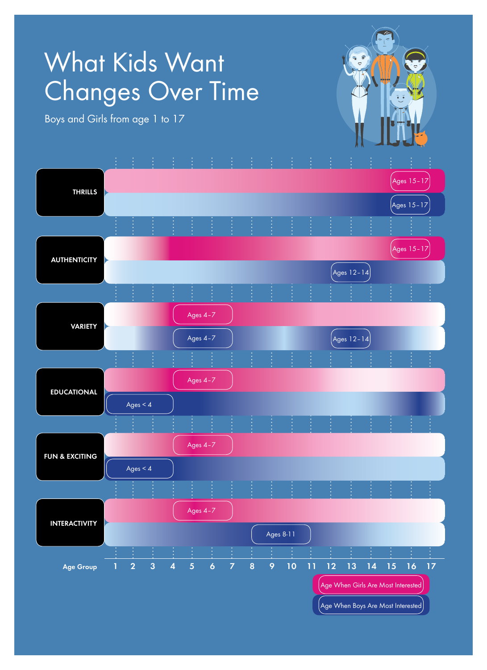## What Kids Want Changes Over Time

Boys and Girls from age 1 to 17

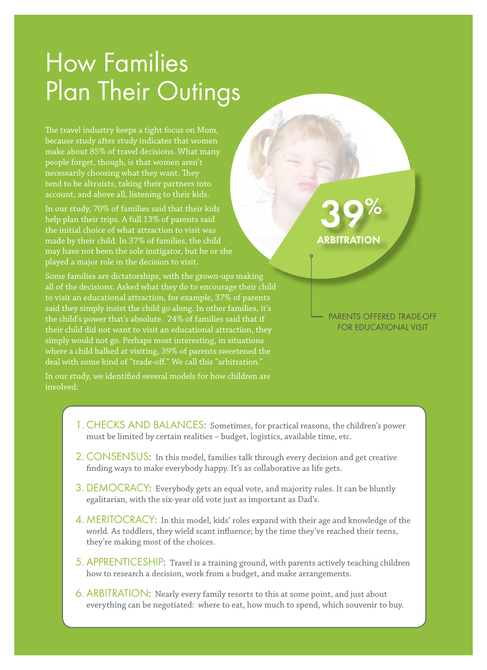### How Families Plan Their Outings

The travel industry keeps a tight focus on Mom, because study after study indicates that women make about 85% of travel decisions. What many people forget, though, is that women aren't necessarily choosing what they want. They tend to be altruists, taking their partners into account, and above all, listening to their kids.

In our study, 70% of families said that their kids help plan their trips. A full 13% of parents said the initial choice of what attraction to visit was made by their child. In 37% of families, the child may have not been the sole instigator, but he or she played a major role in the decision to visit.

Some families are dictatorships, with the grown-ups making all of the decisions. Asked what they do to encourage their child to visit an educational attraction, for example, 37% of parents said they simply insist the child go along. In other families, it's the child's power that's absolute. 24% of families said that if their child did not want to visit an educational attraction, they simply would not go. Perhaps most interesting, in situations where a child balked at visiting, 39% of parents sweetened the deal with some kind of "trade-off." We call this "arbitration."

In our study, we identified several models for how children are involved:

# **ARBITRATION**

parents offered trade-off for educational visit

- 1. CHECKS AND BALANCES: Sometimes, for practical reasons, the children's power must be limited by certain realities – budget, logistics, available time, etc.
- 2. CONSENSUS: In this model, families talk through every decision and get creative finding ways to make everybody happy. It's as collaborative as life gets.
- 3. DEMOCRACY: Everybody gets an equal vote, and majority rules. It can be bluntly egalitarian, with the six-year old vote just as important as Dad's.
- 4. MERITOCRACY: In this model, kids' roles expand with their age and knowledge of the world. As toddlers, they wield scant influence; by the time they've reached their teens, they're making most of the choices.
- 5. APPRENTICESHIP: Travel is a training ground, with parents actively teaching children how to research a decision, work from a budget, and make arrangements.
- 6. ARBITRATION: Nearly every family resorts to this at some point, and just about everything can be negotiated: where to eat, how much to spend, which souvenir to buy.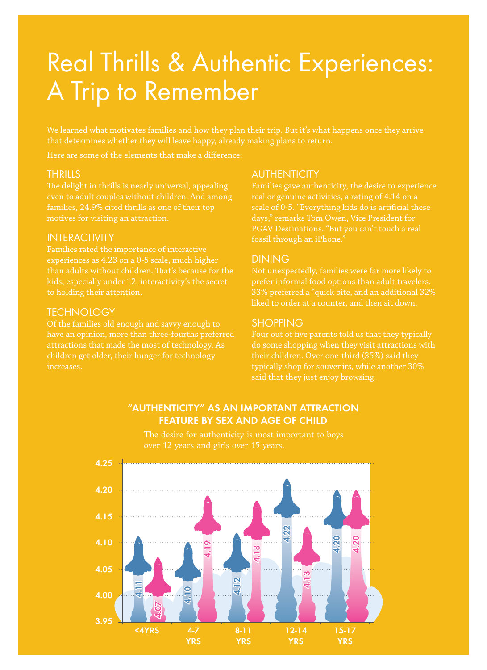### Real Thrills & Authentic Experiences: A Trip to Remember

We learned what motivates families and how they plan their trip. But it's what happens once they arrive that determines whether they will leave happy, already making plans to return.

Here are some of the elements that make a difference:

### **THRILLS**

The delight in thrills is nearly universal, appealing even to adult couples without children. And among families, 24.9% cited thrills as one of their top

#### **INTERACTIVITY**

Families rated the importance of interactive experiences as 4.23 on a 0-5 scale, much higher than adults without children. That's because for the to holding their attention.

#### **TECHNOLOGY**

Of the families old enough and savvy enough to have an opinion, more than three-fourths preferred attractions that made the most of technology. As children get older, their hunger for technology increases.

#### **AUTHENTICITY**

Families gave authenticity, the desire to experience scale of 0-5. "Everything kids do is artificial these

#### **DINING**

Not unexpectedly, families were far more likely to 33% preferred a "quick bite, and an additional 32% liked to order at a counter, and then sit down.

#### **SHOPPING**

Four out of five parents told us that they typically do some shopping when they visit attractions with typically shop for souvenirs, while another 30% said that they just enjoy browsing.



"authenticity" as AN important attraction feature by sex and age of child